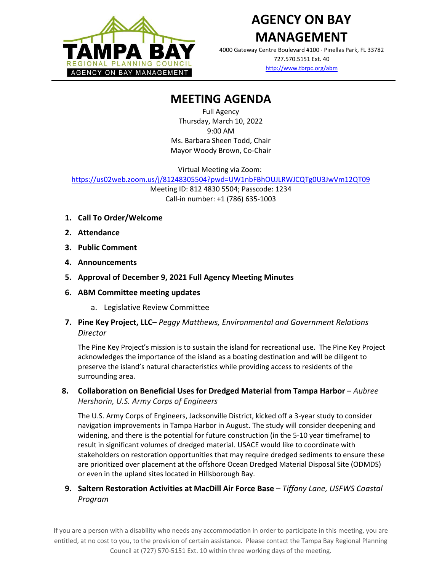

## **AGENCY ON BAY MANAGEMENT**

4000 Gateway Centre Boulevard #100 Pinellas Park, FL 33782 727.570.5151 Ext. 40

<http://www.tbrpc.org/abm>

## **MEETING AGENDA**

Full Agency Thursday, March 10, 2022 9:00 AM Ms. Barbara Sheen Todd, Chair Mayor Woody Brown, Co-Chair

Virtual Meeting via Zoom:

<https://us02web.zoom.us/j/81248305504?pwd=UW1nbFBhOUJLRWJCQTg0U3JwVm12QT09>

Meeting ID: 812 4830 5504; Passcode: 1234 Call-in number: +1 (786) 635-1003

- **1. Call To Order/Welcome**
- **2. Attendance**
- **3. Public Comment**
- **4. Announcements**
- **5. Approval of December 9, 2021 Full Agency Meeting Minutes**
- **6. ABM Committee meeting updates**
	- a. Legislative Review Committee
- **7. Pine Key Project, LLC** *Peggy Matthews, Environmental and Government Relations Director*

The Pine Key Project's mission is to sustain the island for recreational use. The Pine Key Project acknowledges the importance of the island as a boating destination and will be diligent to preserve the island's natural characteristics while providing access to residents of the surrounding area.

**8. Collaboration on Beneficial Uses for Dredged Material from Tampa Harbor** – *Aubree Hershorin, U.S. Army Corps of Engineers*

The U.S. Army Corps of Engineers, Jacksonville District, kicked off a 3-year study to consider navigation improvements in Tampa Harbor in August. The study will consider deepening and widening, and there is the potential for future construction (in the 5-10 year timeframe) to result in significant volumes of dredged material. USACE would like to coordinate with stakeholders on restoration opportunities that may require dredged sediments to ensure these are prioritized over placement at the offshore Ocean Dredged Material Disposal Site (ODMDS) or even in the upland sites located in Hillsborough Bay.

**9. Saltern Restoration Activities at MacDill Air Force Base** – *Tiffany Lane, USFWS Coastal Program*

If you are a person with a disability who needs any accommodation in order to participate in this meeting, you are entitled, at no cost to you, to the provision of certain assistance. Please contact the Tampa Bay Regional Planning Council at (727) 570-5151 Ext. 10 within three working days of the meeting.